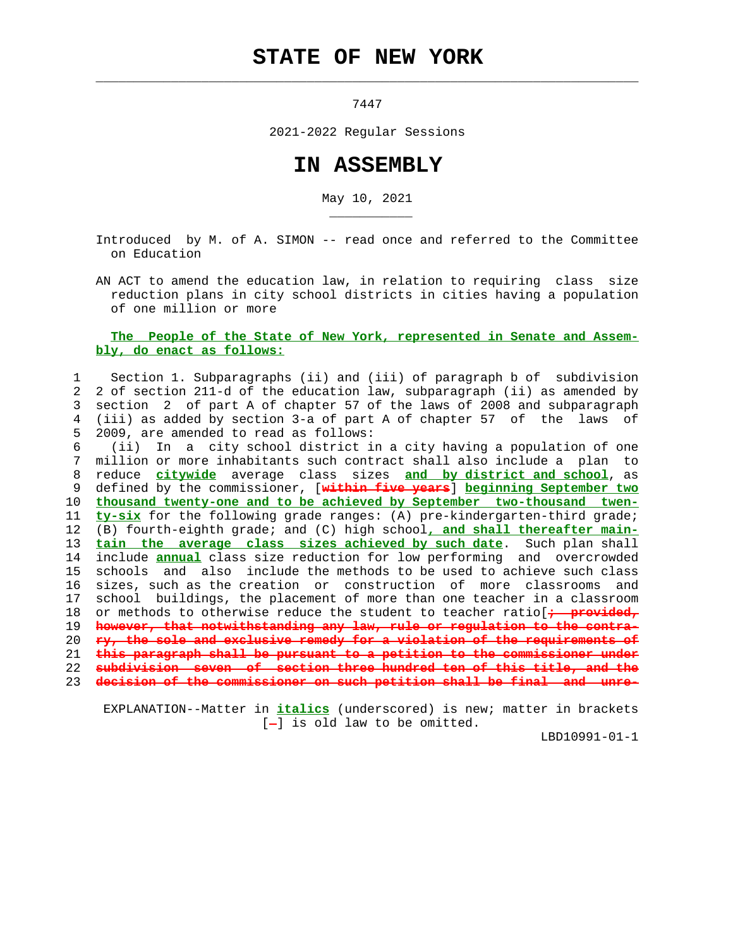## **STATE OF NEW YORK**

 $\mathcal{L}_\text{max} = \frac{1}{2} \sum_{i=1}^{n} \frac{1}{2} \sum_{i=1}^{n} \frac{1}{2} \sum_{i=1}^{n} \frac{1}{2} \sum_{i=1}^{n} \frac{1}{2} \sum_{i=1}^{n} \frac{1}{2} \sum_{i=1}^{n} \frac{1}{2} \sum_{i=1}^{n} \frac{1}{2} \sum_{i=1}^{n} \frac{1}{2} \sum_{i=1}^{n} \frac{1}{2} \sum_{i=1}^{n} \frac{1}{2} \sum_{i=1}^{n} \frac{1}{2} \sum_{i=1}^{n} \frac{1$ 

\_\_\_\_\_\_\_\_\_\_\_

7447

2021-2022 Regular Sessions

## **IN ASSEMBLY**

May 10, 2021

 Introduced by M. of A. SIMON -- read once and referred to the Committee on Education

 AN ACT to amend the education law, in relation to requiring class size reduction plans in city school districts in cities having a population of one million or more

## **The People of the State of New York, represented in Senate and Assem bly, do enact as follows:**

 1 Section 1. Subparagraphs (ii) and (iii) of paragraph b of subdivision 2 2 of section 211-d of the education law, subparagraph (ii) as amended by 3 section 2 of part A of chapter 57 of the laws of 2008 and subparagraph 4 (iii) as added by section 3-a of part A of chapter 57 of the laws of 5 2009, are amended to read as follows:

 6 (ii) In a city school district in a city having a population of one 7 million or more inhabitants such contract shall also include a plan to 8 reduce **citywide** average class sizes **and by district and school**, as 9 defined by the commissioner, [**within five years**] **beginning September two** 10 **thousand twenty-one and to be achieved by September two-thousand twen-** 11 **ty-six** for the following grade ranges: (A) pre-kindergarten-third grade; 12 (B) fourth-eighth grade; and (C) high school**, and shall thereafter main-** 13 **tain the average class sizes achieved by such date**. Such plan shall 14 include **annual** class size reduction for low performing and overcrowded 15 schools and also include the methods to be used to achieve such class 16 sizes, such as the creation or construction of more classrooms and 17 school buildings, the placement of more than one teacher in a classroom 18 or methods to otherwise reduce the student to teacher ratio[+ provided, 19 **however, that notwithstanding any law, rule or regulation to the contra-** 20 **ry, the sole and exclusive remedy for a violation of the requirements of** 21 **this paragraph shall be pursuant to a petition to the commissioner under** 22 **subdivision seven of section three hundred ten of this title, and the** 23 **decision of the commissioner on such petition shall be final and unre-**

 EXPLANATION--Matter in **italics** (underscored) is new; matter in brackets  $[-]$  is old law to be omitted.

LBD10991-01-1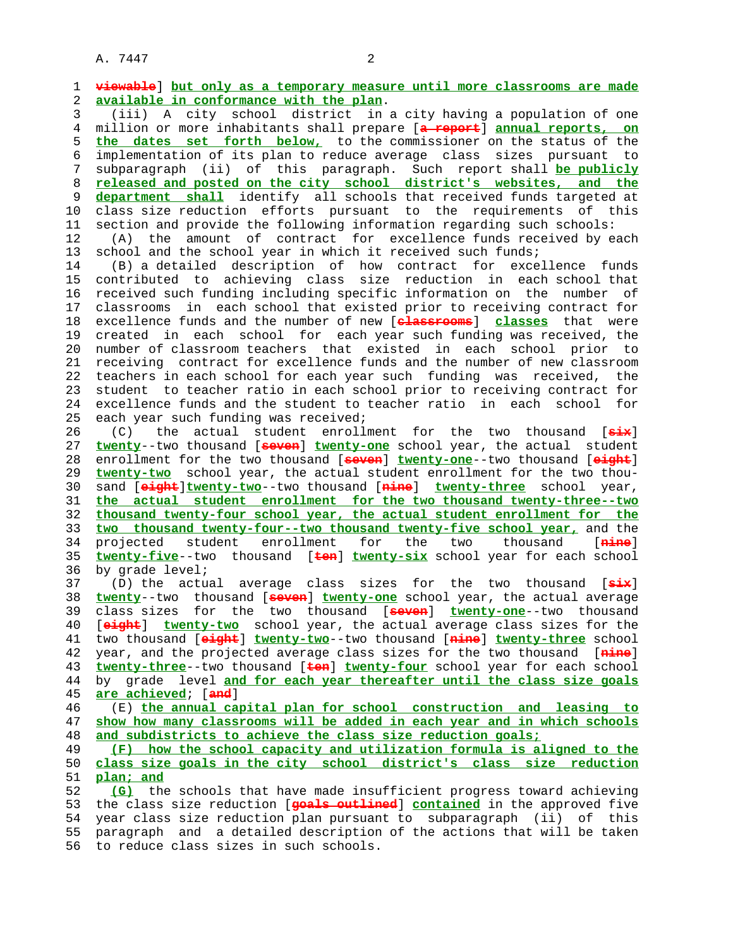A. 7447 2

 1 **viewable**] **but only as a temporary measure until more classrooms are made** 2 **available in conformance with the plan**. 3 (iii) A city school district in a city having a population of one 4 million or more inhabitants shall prepare [**a report**] **annual reports, on** 5 **the dates set forth below,** to the commissioner on the status of the 6 implementation of its plan to reduce average class sizes pursuant to 7 subparagraph (ii) of this paragraph. Such report shall **be publicly** 8 **released and posted on the city school district's websites, and the** department shall identify all schools that received funds targeted at 10 class size reduction efforts pursuant to the requirements of this 11 section and provide the following information regarding such schools: 12 (A) the amount of contract for excellence funds received by each 13 school and the school year in which it received such funds; 14 (B) a detailed description of how contract for excellence funds 15 contributed to achieving class size reduction in each school that 16 received such funding including specific information on the number of 17 classrooms in each school that existed prior to receiving contract for 18 excellence funds and the number of new [**classrooms**] **classes** that were 19 created in each school for each year such funding was received, the 20 number of classroom teachers that existed in each school prior to 21 receiving contract for excellence funds and the number of new classroom 22 teachers in each school for each year such funding was received, the 23 student to teacher ratio in each school prior to receiving contract for 24 excellence funds and the student to teacher ratio in each school for 25 each year such funding was received; 26 (C) the actual student enrollment for the two thousand [**six**] 27 **twenty**--two thousand [**seven**] **twenty-one** school year, the actual student 28 enrollment for the two thousand [**seven**] **twenty-one**--two thousand [**eight**] 29 **twenty-two** school year, the actual student enrollment for the two thou- 30 sand [**eight**]**twenty-two**--two thousand [**nine**] **twenty-three** school year, 31 **the actual student enrollment for the two thousand twenty-three--two** 32 **thousand twenty-four school year, the actual student enrollment for the** 33 **two thousand twenty-four--two thousand twenty-five school year,** and the 34 projected student enrollment for the two thousand [**nine**] 35 **twenty-five**--two thousand [**ten**] **twenty-six** school year for each school 36 by grade level; 37 (D) the actual average class sizes for the two thousand [**six**] 38 **twenty**--two thousand [**seven**] **twenty-one** school year, the actual average 39 class sizes for the two thousand [**seven**] **twenty-one**--two thousand 40 [**eight**] **twenty-two** school year, the actual average class sizes for the 41 two thousand [**eight**] **twenty-two**--two thousand [**nine**] **twenty-three** school 42 year, and the projected average class sizes for the two thousand [**nine**] 43 **twenty-three**--two thousand [**ten**] **twenty-four** school year for each school 44 by grade level **and for each year thereafter until the class size goals** 45 **are achieved**; [**and**] 46 (E) **the annual capital plan for school construction and leasing to** 47 **show how many classrooms will be added in each year and in which schools** 48 **and subdistricts to achieve the class size reduction goals;** 49 **(F) how the school capacity and utilization formula is aligned to the** 50 **class size goals in the city school district's class size reduction** 51 **plan; and** 52 **(G)** the schools that have made insufficient progress toward achieving 53 the class size reduction [**goals outlined**] **contained** in the approved five 54 year class size reduction plan pursuant to subparagraph (ii) of this 55 paragraph and a detailed description of the actions that will be taken 56 to reduce class sizes in such schools.